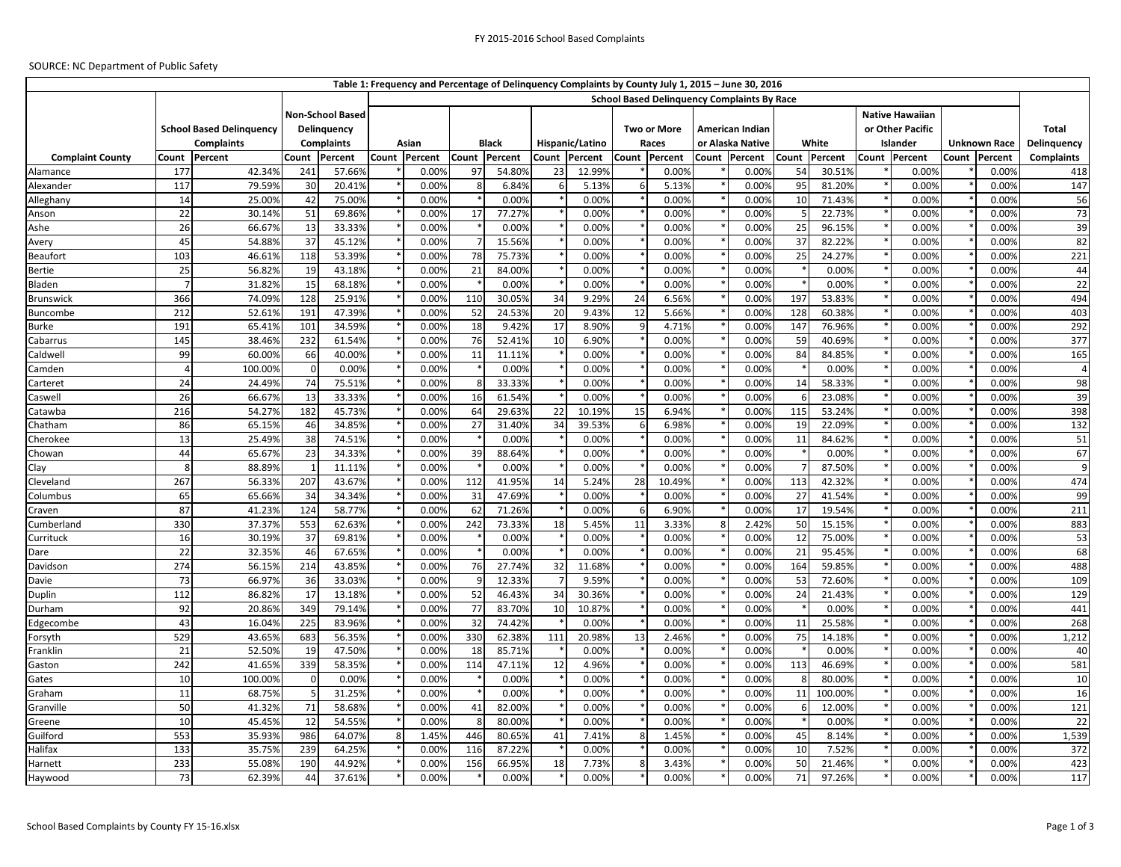## SOURCE: NC Department of Public Safety

| Table 1: Frequency and Percentage of Delinquency Complaints by County July 1, 2015 - June 30, 2016 |                                                      |                  |                  |                         |       |                |            |                  |       |                 |             |                |                 |                                                    |               |                  |                  |                        |       |                     |                   |
|----------------------------------------------------------------------------------------------------|------------------------------------------------------|------------------|------------------|-------------------------|-------|----------------|------------|------------------|-------|-----------------|-------------|----------------|-----------------|----------------------------------------------------|---------------|------------------|------------------|------------------------|-------|---------------------|-------------------|
|                                                                                                    |                                                      |                  |                  |                         |       |                |            |                  |       |                 |             |                |                 | <b>School Based Delinguency Complaints By Race</b> |               |                  |                  |                        |       |                     |                   |
|                                                                                                    |                                                      |                  |                  | <b>Non-School Based</b> |       |                |            |                  |       |                 |             |                |                 |                                                    |               |                  |                  | <b>Native Hawaiian</b> |       |                     |                   |
|                                                                                                    | <b>School Based Delinquency</b><br><b>Complaints</b> |                  | Delinquency      |                         |       |                |            |                  |       |                 | Two or More |                | American Indian |                                                    |               |                  | or Other Pacific |                        |       |                     | <b>Total</b>      |
|                                                                                                    |                                                      |                  |                  | <b>Complaints</b>       |       | Asian          |            | <b>Black</b>     |       | Hispanic/Latino |             | Races          |                 | or Alaska Native                                   |               | White            |                  | Islander               |       | <b>Unknown Race</b> | Delinquency       |
| <b>Complaint County</b>                                                                            | Count                                                | Percent          | Count            | Percent                 | Count | Percent        |            | Count Percent    | Count | Percent         |             | Count Percent  |                 | Count Percent                                      | Count Percent |                  |                  | Count Percent          | Count | Percent             | <b>Complaints</b> |
| Alamance                                                                                           | 177                                                  | 42.34%           | 241              | 57.66%                  |       | 0.00%          | 97         | 54.80%           | 23    | 12.99%          |             | 0.00%          |                 | 0.00%                                              | 54            | 30.51%           |                  | 0.00%                  |       | 0.00%               | 418               |
| Alexander                                                                                          | 117                                                  | 79.59%           | 30               | 20.41%                  |       | 0.00%          | 8          | 6.84%            |       | 5.13%           | 6           | 5.13%          |                 | 0.00%                                              | 95            | 81.20%           |                  | 0.00%                  |       | 0.00%               | 147               |
| Alleghany                                                                                          | 14                                                   | 25.00%           | 42               | 75.00%                  |       | 0.00%          |            | 0.00%            |       | 0.00%           |             | 0.00%          |                 | 0.00%                                              | 10            | 71.43%           |                  | 0.00%                  |       | 0.00%               | 56                |
| Anson                                                                                              | $\overline{22}$                                      | 30.14%           | 51               | 69.86%                  |       | 0.00%          | 17         | 77.27%           |       | 0.00%           |             | 0.00%          |                 | 0.00%                                              |               | 22.73%           |                  | 0.00%                  |       | 0.00%               | 73                |
| Ashe                                                                                               | 26                                                   | 66.67%           | 13               | 33.33%                  |       | 0.00%          |            | 0.00%            |       | 0.00%           |             | 0.00%          |                 | 0.00%                                              | 25            | 96.15%           |                  | 0.00%                  |       | 0.00%               | 39                |
| Avery                                                                                              | 45                                                   | 54.88%           | 37               | 45.12%                  |       | 0.00%          |            | 15.56%           |       | 0.00%           |             | 0.00%          |                 | 0.00%                                              | 37            | 82.22%           |                  | 0.00%                  |       | 0.00%               | 82                |
| Beaufort                                                                                           | 103                                                  | 46.61%           | 118              | 53.39%                  |       | 0.00%          | 78         | 75.73%           |       | 0.00%           |             | 0.00%          |                 | 0.00%                                              | 25            | 24.27%           |                  | 0.00%                  |       | 0.00%               | 221               |
| Bertie                                                                                             | 25                                                   | 56.82%           | 19               | 43.18%                  |       | 0.00%          | 21         | 84.00%           |       | 0.00%           |             | 0.00%          |                 | 0.00%                                              |               | 0.00%            |                  | 0.00%                  |       | 0.00%               | 44                |
| Bladen                                                                                             | $\overline{7}$                                       | 31.82%           | 15               | 68.18%                  |       | 0.00%          |            | 0.00%            |       | 0.00%           |             | 0.00%          |                 | 0.00%                                              |               | 0.00%            |                  | 0.00%                  |       | 0.00%               | 22                |
| <b>Brunswick</b>                                                                                   | 366                                                  | 74.09%           | 128              | 25.91%                  |       | 0.00%          | 110        | 30.05%           | 34    | 9.29%           | 24          | 6.56%          |                 | 0.00%                                              | 197           | 53.83%           |                  | 0.00%                  |       | 0.00%               | 494               |
| Buncombe                                                                                           | 212                                                  | 52.61%           | 191              | 47.39%                  |       | 0.00%          | 52         | 24.53%           | 20    | 9.43%           | 12          | 5.66%          |                 | 0.00%                                              | 128           | 60.38%           |                  | 0.00%                  |       | 0.00%               | 403               |
| <b>Burke</b>                                                                                       | 191                                                  | 65.41%           | 101              | 34.59%                  |       | 0.00%          | 18         | 9.42%            | 17    | 8.90%           | q           | 4.71%          |                 | 0.00%                                              | 147           | 76.96%           |                  | 0.00%                  |       | 0.00%               | 292               |
| Cabarrus                                                                                           | 145                                                  | 38.46%           | 232              | 61.54%                  |       | 0.00%          | 76         | 52.41%           | 10    | 6.90%           |             | 0.00%          |                 | 0.00%                                              | 59            | 40.69%           |                  | 0.00%                  |       | 0.00%               | 377               |
| Caldwell                                                                                           | 99                                                   | 60.00%           | 66               | 40.00%                  |       | 0.00%          | 11         | 11.11%           |       | 0.00%           |             | 0.00%          |                 | 0.00%                                              | 84            | 84.85%           |                  | 0.00%                  |       | 0.00%               | 165               |
| Camden                                                                                             | $\overline{4}$                                       | 100.00%          | $\mathbf 0$      | 0.00%                   |       | 0.00%          |            | 0.00%            |       | 0.00%           |             | 0.00%          |                 | 0.00%                                              |               | 0.00%            |                  | 0.00%                  |       | 0.00%               | $\overline{4}$    |
| Carteret                                                                                           | 24                                                   | 24.49%           | 74               | 75.51%                  |       | 0.00%          | 8          | 33.33%           |       | 0.00%           |             | 0.00%          |                 | 0.00%                                              | 14            | 58.33%           |                  | 0.00%                  |       | 0.00%               | 98                |
| Caswell                                                                                            | 26                                                   | 66.67%           | 13               | 33.33%                  |       | 0.00%          | 16         | 61.54%           |       | 0.00%           |             | 0.00%          |                 | 0.00%                                              | -6            | 23.08%           |                  | 0.00%                  |       | 0.00%               | 39                |
| Catawba                                                                                            | 216                                                  | 54.27%           | 182              | 45.73%                  |       | 0.00%          | 64         | 29.63%           | 22    | 10.19%          | 15          | 6.94%          |                 | 0.00%                                              | 115           | 53.24%           |                  | 0.00%                  |       | 0.00%               | 398               |
| Chatham                                                                                            | 86                                                   | 65.15%           | 46               | 34.85%                  |       | 0.00%          | 27         | 31.40%           | 34    | 39.53%          | 6           | 6.98%          |                 | 0.00%                                              | 19            | 22.09%           |                  | 0.00%                  |       | 0.00%               | 132               |
| Cherokee                                                                                           | 13                                                   | 25.49%           | 38               | 74.51%                  |       | 0.00%          |            | 0.00%            |       | 0.00%           |             | 0.00%          |                 | 0.00%                                              | 11            | 84.62%           |                  | 0.00%                  |       | 0.00%               | 51                |
| Chowan                                                                                             | 44                                                   | 65.67%           | 23               | 34.33%                  |       | 0.00%          | 39         | 88.64%           |       | 0.00%           |             | 0.00%          |                 | 0.00%                                              |               | 0.00%            |                  | 0.00%                  |       | 0.00%               | 67                |
| Clay                                                                                               | 8                                                    | 88.89%           | $\overline{1}$   | 11.11%                  |       | 0.00%          |            | 0.00%            |       | 0.00%           |             | 0.00%          |                 | 0.00%                                              |               | 87.50%           |                  | 0.00%                  |       | 0.00%               | 9                 |
| Cleveland                                                                                          | 267                                                  | 56.33%           | 207              | 43.67%                  |       | 0.00%          | 112        | 41.95%           | 14    | 5.24%           | 28          | 10.49%         |                 | 0.00%                                              | 113           | 42.32%           |                  | 0.00%                  |       | 0.00%               | 474               |
| Columbus                                                                                           | 65                                                   | 65.66%           | 34               | 34.34%                  |       | 0.00%          | 31         | 47.69%           |       | 0.00%           |             | 0.00%          |                 | 0.00%                                              | 27            | 41.54%           |                  | 0.00%                  |       | 0.00%               | 99                |
| Craven                                                                                             | 87                                                   | 41.23%           | 124              | 58.77%                  |       | 0.00%          | 62         | 71.26%           |       | 0.00%           |             | 6.90%          |                 | 0.00%                                              | 17            | 19.54%           |                  | 0.00%                  |       | 0.00%               | 211               |
| Cumberland                                                                                         | 330                                                  | 37.37%           | 553              | 62.63%                  |       | 0.00%          | 242        | 73.33%           | 18    | 5.45%           | 11          | 3.33%          |                 | 2.42%                                              | 50            | 15.15%           |                  | 0.00%                  |       | 0.00%               | 883               |
| Currituck                                                                                          | 16                                                   | 30.19%           | 37               | 69.81%                  |       | 0.00%          |            | 0.00%            |       | 0.00%           |             | 0.00%          |                 | 0.00%                                              | 12            | 75.00%           |                  | 0.00%                  |       | 0.00%               | 53                |
| Dare                                                                                               | 22                                                   | 32.35%           | 46               | 67.65%                  |       | 0.00%          |            | 0.00%            |       | 0.00%           |             | 0.00%          |                 | 0.00%                                              | 21            | 95.45%           |                  | 0.00%                  |       | 0.00%               | 68                |
| Davidson                                                                                           | 274                                                  | 56.15%           | 214              | 43.85%                  |       | 0.00%          | 76         | 27.74%           | 32    | 11.68%          |             | 0.00%          |                 | 0.00%                                              | 164           | 59.85%           |                  | 0.00%                  |       | 0.00%               | 488               |
| Davie                                                                                              | 73                                                   | 66.97%           | 36               | 33.03%                  |       | 0.00%          |            | 12.33%           |       | 9.59%           |             | 0.00%          |                 | 0.00%                                              | 53            | 72.60%           |                  | 0.00%                  |       | 0.00%               | 109               |
| Duplin                                                                                             | 112                                                  | 86.82%           | 17               | 13.18%                  |       | 0.00%          | 52         | 46.43%           | 34    | 30.36%          |             | 0.00%          |                 | 0.00%                                              | 24            | 21.43%           |                  | 0.00%                  |       | 0.00%               | 129               |
| Durham                                                                                             | 92                                                   | 20.86%           | 349              | 79.14%                  |       | 0.00%          | 77         | 83.70%           | 10    | 10.87%          |             | 0.00%          |                 | 0.00%                                              |               | 0.00%            |                  | 0.00%                  |       | 0.00%               | 441               |
| Edgecombe                                                                                          | 43                                                   | 16.04%           | 225              | 83.96%                  |       | 0.00%          | 32         | 74.42%           |       | 0.00%           |             | 0.00%          |                 | 0.00%                                              | 11            | 25.58%           |                  | 0.00%                  |       | 0.00%               | 268               |
| Forsyth                                                                                            | 529<br>21                                            | 43.65%           | 683<br>19        | 56.35%                  |       | 0.00%          | 330        | 62.38%           | 111   | 20.98%          | 13          | 2.46%          |                 | 0.00%                                              | 75            | 14.18%           |                  | 0.00%                  |       | 0.00%               | 1,212             |
| Franklin                                                                                           | 242                                                  | 52.50%           | 339              | 47.50%                  |       | 0.00%          | 18         | 85.71%           |       | 0.00%           |             | 0.00%          |                 | 0.00%                                              |               | 0.00%            |                  | 0.00%                  |       | 0.00%               | 40                |
| Gaston                                                                                             |                                                      | 41.65%           |                  | 58.35%                  |       | 0.00%          | 114        | 47.11%           | 12    | 4.96%           |             | 0.00%          |                 | 0.00%                                              | 113<br>8      | 46.69%           |                  | 0.00%                  |       | 0.00%<br>0.00%      | 581               |
| Gates                                                                                              | 10                                                   | 100.00%          | $\mathbf 0$<br>5 | 0.00%                   |       | 0.00%          |            | 0.00%            |       | 0.00%           |             | 0.00%          |                 | 0.00%                                              |               | 80.00%           |                  | 0.00%                  |       |                     | 10                |
| Graham                                                                                             | 11                                                   | 68.75%           |                  | 31.25%                  |       | 0.00%          |            | 0.00%            |       | 0.00%           |             | 0.00%          |                 | 0.00%                                              | 11            | 100.00%          |                  | 0.00%                  |       | 0.00%               | 16                |
| Granville                                                                                          | 50<br>10                                             | 41.32%<br>45.45% | 71<br>12         | 58.68%<br>54.55%        |       | 0.00%<br>0.00% | 41<br>8    | 82.00%           |       | 0.00%           |             | 0.00%          |                 | 0.00%<br>0.00%                                     | 6             | 12.00%           |                  | 0.00%                  |       | 0.00%<br>0.00%      | 121               |
| Greene                                                                                             | 553                                                  |                  |                  |                         |       |                |            | 80.00%           |       | 0.00%           | 8           | 0.00%          |                 |                                                    |               | 0.00%            |                  | 0.00%                  |       |                     | 22                |
| Guilford<br>Halifax                                                                                | 133                                                  | 35.93%<br>35.75% | 986<br>239       | 64.07%<br>64.25%        | 8     | 1.45%<br>0.00% | 446<br>116 | 80.65%<br>87.22% | 41    | 7.41%<br>0.00%  |             | 1.45%<br>0.00% |                 | 0.00%<br>0.00%                                     | 45<br>10      | 8.14%<br>7.52%   |                  | 0.00%<br>0.00%         |       | 0.00%<br>0.00%      | 1,539<br>372      |
|                                                                                                    |                                                      |                  | 190              | 44.92%                  |       | 0.00%          |            |                  |       |                 |             |                |                 | 0.00%                                              |               |                  |                  | 0.00%                  |       | 0.00%               | 423               |
| Harnett                                                                                            | 233<br>73                                            | 55.08%<br>62.39% | 44               | 37.61%                  |       | 0.00%          | 156        | 66.95%<br>0.00%  | 18    | 7.73%<br>0.00%  | 8           | 3.43%<br>0.00% |                 | 0.00%                                              | 50<br>71      | 21.46%<br>97.26% |                  | 0.00%                  |       | 0.00%               |                   |
| Haywood                                                                                            |                                                      |                  |                  |                         |       |                |            |                  |       |                 |             |                |                 |                                                    |               |                  |                  |                        |       |                     | 117               |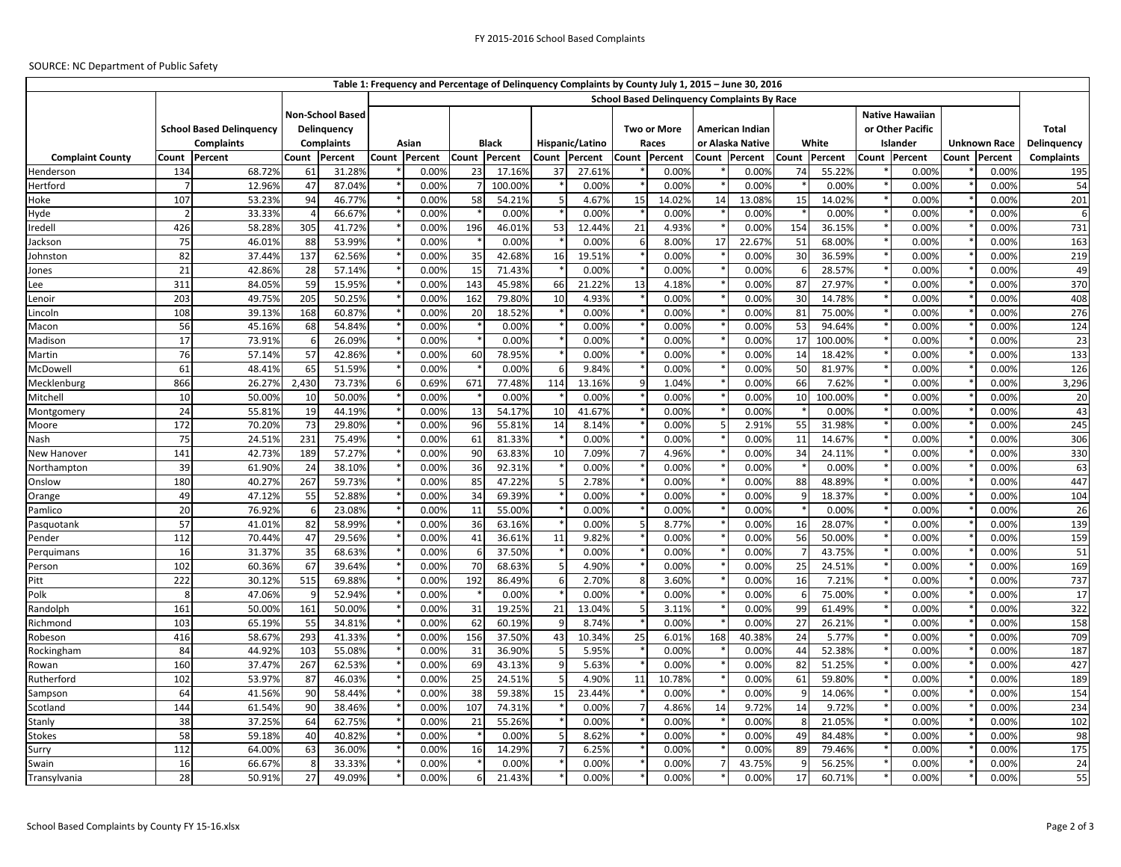## SOURCE: NC Department of Public Safety

|                         |                         |                                                |                   |         |   |               |     |               |                | Table 1: Frequency and Percentage of Delinquency Complaints by County July 1, 2015 - June 30, 2016 |    |               |                 |                                                    |                |               |                        |                 |                     |                   |
|-------------------------|-------------------------|------------------------------------------------|-------------------|---------|---|---------------|-----|---------------|----------------|----------------------------------------------------------------------------------------------------|----|---------------|-----------------|----------------------------------------------------|----------------|---------------|------------------------|-----------------|---------------------|-------------------|
|                         |                         |                                                |                   |         |   |               |     |               |                |                                                                                                    |    |               |                 | <b>School Based Delinquency Complaints By Race</b> |                |               |                        |                 |                     |                   |
|                         | <b>Non-School Based</b> |                                                |                   |         |   |               |     |               |                |                                                                                                    |    |               |                 |                                                    |                |               | <b>Native Hawaiian</b> |                 |                     |                   |
|                         |                         | <b>School Based Delinquency</b><br>Delinquency |                   |         |   |               |     |               |                | <b>Two or More</b>                                                                                 |    |               | American Indian |                                                    |                |               | or Other Pacific       |                 | <b>Total</b>        |                   |
|                         |                         | <b>Complaints</b>                              | <b>Complaints</b> |         |   | Asian         |     | <b>Black</b>  |                | Hispanic/Latino                                                                                    |    | Races         |                 | or Alaska Native                                   |                | White         |                        | <b>Islander</b> | <b>Unknown Race</b> | Delinquency       |
| <b>Complaint County</b> | Count                   | Percent                                        | Count             | Percent |   | Count Percent |     | Count Percent | Count          | Percent                                                                                            |    | Count Percent | Count           | Percent                                            |                | Count Percent |                        | Count Percent   | Count Percent       | <b>Complaints</b> |
| Henderson               | 134                     | 68.72%                                         | 61                | 31.28%  |   | 0.00%         | 23  | 17.16%        | 37             | 27.61%                                                                                             |    | 0.00%         |                 | 0.00%                                              | 74             | 55.22%        |                        | 0.00%           | 0.00%               | 195               |
| Hertford                |                         | 12.96%                                         | 47                | 87.04%  |   | 0.00%         |     | 100.00%       |                | 0.00%                                                                                              |    | 0.00%         |                 | 0.00%                                              |                | 0.00%         |                        | 0.00%           | 0.00%               | 54                |
| Hoke                    | 107                     | 53.23%                                         | 94                | 46.77%  |   | 0.00%         | 58  | 54.21%        |                | 4.67%                                                                                              | 15 | 14.02%        | 14              | 13.08%                                             | 15             | 14.02%        |                        | 0.00%           | 0.00%               | 201               |
| Hyde                    |                         | 33.33%                                         | 4                 | 66.67%  |   | 0.00%         |     | 0.00%         |                | 0.009                                                                                              |    | 0.00%         |                 | 0.00%                                              |                | 0.00%         |                        | 0.00%           | 0.00%               | 6                 |
| Iredell                 | 426                     | 58.28%                                         | 305               | 41.72%  |   | 0.00%         | 196 | 46.01%        | 53             | 12.44%                                                                                             | 21 | 4.93%         |                 | 0.00%                                              | 154            | 36.15%        |                        | 0.00%           | 0.00%               | 731               |
| lackson                 | 75                      | 46.01%                                         | 88                | 53.99%  |   | 0.00%         |     | 0.00%         |                | 0.00%                                                                                              | 6  | 8.00%         | 17              | 22.67%                                             | 51             | 68.00%        |                        | 0.00%           | 0.00%               | 163               |
| Johnston                | 82                      | 37.44%                                         | 137               | 62.56%  |   | 0.00%         | 35  | 42.68%        | 16             | 19.51%                                                                                             |    | 0.00%         |                 | 0.00%                                              | 30             | 36.59%        |                        | 0.00%           | 0.00%               | 219               |
| Jones                   | 21                      | 42.86%                                         | 28                | 57.14%  |   | 0.00%         | 15  | 71.43%        |                | 0.00%                                                                                              |    | 0.00%         |                 | 0.00%                                              | -6             | 28.57%        |                        | 0.00%           | 0.00%               | 49                |
| .ee                     | 311                     | 84.05%                                         | 59                | 15.95%  |   | 0.00%         | 143 | 45.98%        | 66             | 21.22%                                                                                             | 13 | 4.18%         |                 | 0.00%                                              | 87             | 27.97%        |                        | 0.00%           | 0.00%               | 370               |
| Lenoir                  | 203                     | 49.75%                                         | 205               | 50.25%  |   | 0.00%         | 162 | 79.80%        | 10             | 4.93%                                                                                              |    | 0.00%         |                 | 0.00%                                              | 30             | 14.78%        |                        | 0.00%           | 0.00%               | 408               |
| .incoln                 | 108                     | 39.13%                                         | 168               | 60.87%  |   | 0.00%         | 20  | 18.52%        |                | 0.00%                                                                                              |    | 0.00%         |                 | 0.00%                                              | 81             | 75.00%        |                        | 0.00%           | 0.00%               | 276               |
| Macon                   | 56                      | 45.16%                                         | 68                | 54.84%  |   | 0.00%         |     | 0.00%         |                | 0.00%                                                                                              |    | 0.00%         |                 | 0.00%                                              | 53             | 94.64%        |                        | 0.00%           | 0.00%               | 124               |
| Madison                 | 17                      | 73.91%                                         | 6                 | 26.09%  |   | 0.00%         |     | 0.00%         |                | 0.00%                                                                                              |    | 0.00%         |                 | 0.00%                                              | 17             | 100.00%       |                        | 0.00%           | 0.00%               | 23                |
| Martin                  | 76                      | 57.14%                                         | 57                | 42.86%  |   | 0.00%         | 60  | 78.95%        |                | 0.00%                                                                                              |    | 0.00%         |                 | 0.00%                                              | 14             | 18.42%        |                        | 0.00%           | 0.00%               | 133               |
| McDowell                | 61                      | 48.41%                                         | 65                | 51.59%  |   | 0.00%         |     | 0.00%         | $\epsilon$     | 9.84%                                                                                              |    | 0.00%         |                 | 0.00%                                              | 50             | 81.97%        |                        | 0.00%           | 0.00%               | 126               |
| Mecklenburg             | 866                     | 26.27%                                         | 2,430             | 73.73%  | 6 | 0.69%         | 671 | 77.48%        | 114            | 13.16%                                                                                             |    | 1.04%         |                 | 0.00%                                              | 66             | 7.62%         |                        | 0.00%           | 0.00%               | 3,296             |
| Mitchell                | 10                      | 50.00%                                         | 10                | 50.00%  |   | 0.00%         |     | 0.00%         |                | 0.00%                                                                                              |    | 0.00%         |                 | 0.00%                                              | 10             | 100.00%       |                        | 0.00%           | 0.00%               | 20                |
| Montgomery              | 24                      | 55.81%                                         | 19                | 44.19%  |   | 0.00%         | 13  | 54.17%        | 10             | 41.67%                                                                                             |    | 0.00%         |                 | 0.00%                                              |                | 0.00%         |                        | 0.00%           | 0.00%               | 43                |
| Moore                   | 172                     | 70.20%                                         | 73                | 29.80%  |   | 0.00%         | 96  | 55.81%        | 14             | 8.14%                                                                                              |    | 0.00%         |                 | 2.91%                                              | 55             | 31.98%        |                        | 0.00%           | 0.00%               | 245               |
| Nash                    | 75                      | 24.51%                                         | 231               | 75.49%  |   | 0.00%         | 61  | 81.33%        |                | 0.00%                                                                                              |    | 0.00%         |                 | 0.00%                                              | 11             | 14.67%        |                        | 0.00%           | 0.00%               | 306               |
| New Hanover             | 141                     | 42.73%                                         | 189               | 57.27%  |   | 0.00%         | 90  | 63.83%        | 10             | 7.09%                                                                                              |    | 4.96%         |                 | 0.00%                                              | 34             | 24.11%        |                        | 0.00%           | 0.00%               | 330               |
| Northampton             | 39                      | 61.90%                                         | 24                | 38.10%  |   | 0.00%         | 36  | 92.31%        |                | 0.00%                                                                                              |    | 0.00%         |                 | 0.00%                                              |                | 0.00%         |                        | 0.00%           | 0.00%               | 63                |
| Onslow                  | 180                     | 40.27%                                         | 267               | 59.73%  |   | 0.00%         | 85  | 47.22%        | -5             | 2.78%                                                                                              |    | 0.00%         |                 | 0.00%                                              | 88             | 48.89%        |                        | 0.00%           | 0.00%               | 447               |
| Orange                  | 49                      | 47.12%                                         | 55                | 52.88%  |   | 0.00%         | 34  | 69.39%        |                | 0.00%                                                                                              |    | 0.00%         |                 | 0.00%                                              | 9              | 18.37%        |                        | 0.00%           | 0.00%               | 104               |
| Pamlico                 | 20                      | 76.92%                                         | 6                 | 23.08%  |   | 0.00%         | 11  | 55.00%        |                | 0.00%                                                                                              |    | 0.00%         |                 | 0.00%                                              |                | 0.00%         |                        | 0.00%           | 0.00%               | 26                |
| Pasquotank              | 57                      | 41.01%                                         | 82                | 58.99%  |   | 0.00%         | 36  | 63.16%        |                | 0.00%                                                                                              |    | 8.77%         |                 | 0.00%                                              | 16             | 28.07%        |                        | 0.00%           | 0.00%               | 139               |
| Pender                  | 112                     | 70.44%                                         | 47                | 29.56%  |   | 0.00%         | 41  | 36.61%        | 11             | 9.82%                                                                                              |    | 0.00%         |                 | 0.00%                                              | 56             | 50.00%        |                        | 0.00%           | 0.00%               | 159               |
| Perquimans              | 16                      | 31.37%                                         | 35                | 68.63%  |   | 0.00%         | 6   | 37.50%        |                | 0.00%                                                                                              |    | 0.00%         |                 | 0.00%                                              | $\overline{7}$ | 43.75%        |                        | 0.00%           | 0.00%               | 51                |
| Person                  | 102                     | 60.36%                                         | 67                | 39.64%  |   | 0.00%         | 70  | 68.63%        | 5              | 4.90%                                                                                              |    | 0.00%         |                 | 0.00%                                              | 25             | 24.51%        |                        | 0.00%           | 0.00%               | 169               |
| Pitt                    | 222                     | 30.12%                                         | 515               | 69.88%  |   | 0.00%         | 192 | 86.49%        | 6              | 2.70%                                                                                              | 8  | 3.60%         |                 | 0.00%                                              | 16             | 7.21%         |                        | 0.00%           | 0.00%               | 737               |
| Polk                    | 8                       | 47.06%                                         | 9                 | 52.94%  |   | 0.00%         |     | 0.00%         |                | 0.00%                                                                                              |    | 0.00%         |                 | 0.00%                                              |                | 75.00%        |                        | 0.00%           | 0.00%               | 17                |
| Randolph                | 161                     | 50.00%                                         | 161               | 50.00%  |   | 0.00%         | 31  | 19.25%        | 21             | 13.04%                                                                                             |    | 3.11%         |                 | 0.00%                                              | 99             | 61.49%        |                        | 0.00%           | 0.00%               | 322               |
| Richmond                | 103                     | 65.19%                                         | 55                | 34.81%  |   | 0.00%         | 62  | 60.19%        | q              | 8.74%                                                                                              |    | 0.00%         |                 | 0.00%                                              | 27             | 26.21%        |                        | 0.00%           | 0.00%               | 158               |
| Robeson                 | 416                     | 58.67%                                         | 293               | 41.33%  |   | 0.00%         | 156 | 37.50%        | 43             | 10.34%                                                                                             | 25 | 6.01%         | 168             | 40.38%                                             | 24             | 5.77%         |                        | 0.00%           | 0.00%               | 709               |
| Rockingham              | 84                      | 44.92%                                         | 103               | 55.08%  |   | 0.00%         | 31  | 36.90%        | F,             | 5.95%                                                                                              |    | 0.00%         |                 | 0.00%                                              | 44             | 52.38%        |                        | 0.00%           | 0.00%               | 187               |
| Rowan                   | 160                     | 37.47%                                         | 267               | 62.53%  |   | 0.00%         | 69  | 43.13%        | c              | 5.639                                                                                              |    | 0.00%         |                 | 0.00%                                              | 82             | 51.25%        |                        | 0.00%           | 0.00%               | 427               |
| Rutherford              | 102                     | 53.97%                                         | 87                | 46.03%  |   | 0.00%         | 25  | 24.51%        | $\overline{5}$ | 4.90%                                                                                              | 11 | 10.78%        |                 | 0.00%                                              | 61             | 59.80%        |                        | 0.00%           | 0.00%               | 189               |
| Sampson                 | 64                      | 41.56%                                         | 90                | 58.44%  |   | 0.00%         | 38  | 59.38%        | 15             | 23.449                                                                                             |    | 0.00%         |                 | 0.00%                                              |                | 14.06%        |                        | 0.00%           | 0.00%               | 154               |
| Scotland                | 144                     | 61.54%                                         | 90                | 38.46%  |   | 0.00%         | 107 | 74.31%        |                | 0.009                                                                                              |    | 4.86%         | 14              | 9.72%                                              | 14             | 9.72%         |                        | 0.00%           | 0.00%               | 234               |
| Stanly                  | 38                      | 37.25%                                         | 64                | 62.75%  |   | 0.00%         | 21  | 55.26%        |                | 0.00%                                                                                              |    | 0.00%         |                 | 0.00%                                              |                | 21.05%        |                        | 0.00%           | 0.00%               | 102               |
| stokes                  | 58                      | 59.18%                                         | 40                | 40.82%  |   | 0.00%         |     | 0.00%         |                | 8.62%                                                                                              |    | 0.00%         |                 | 0.00%                                              | 49             | 84.48%        |                        | 0.00%           | 0.00%               | 98                |
| Surry                   | 112                     | 64.00%                                         | 63                | 36.00%  |   | 0.00%         | 16  | 14.29%        |                | 6.25%                                                                                              |    | 0.00%         |                 | 0.00%                                              | 89             | 79.46%        |                        | 0.00%           | 0.00%               | 175               |
| Swain                   | 16                      | 66.67%                                         | 8                 | 33.33%  |   | 0.00%         |     | 0.00%         |                | 0.00%                                                                                              |    | 0.00%         |                 | 43.75%                                             |                | 56.25%        |                        | 0.00%           | 0.00%               | 24                |
| Transylvania            | 28                      | 50.91%                                         | 27                | 49.09%  |   | 0.00%         | 6   | 21.43%        |                | 0.00%                                                                                              |    | 0.00%         |                 | 0.00%                                              | 17             | 60.71%        |                        | 0.00%           | 0.00%               | 55                |